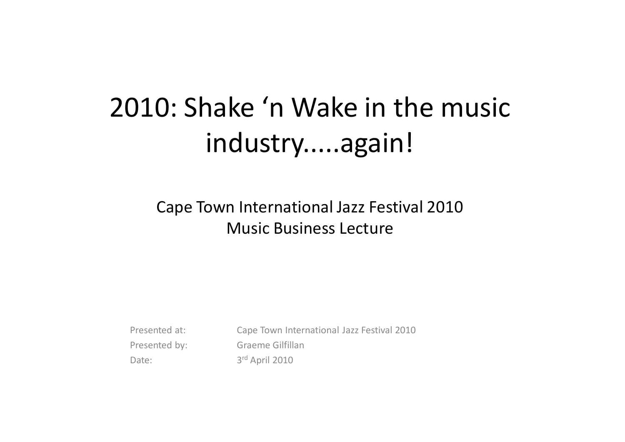### 2010: Shake 'n Wake in the music industry.....again!

Cape Town International Jazz Festival 2010Music Business Lecture

Presented at: Cape Town International Jazz Festival 2010Presented by: Graeme Gilfillan Date: 3rd April 2010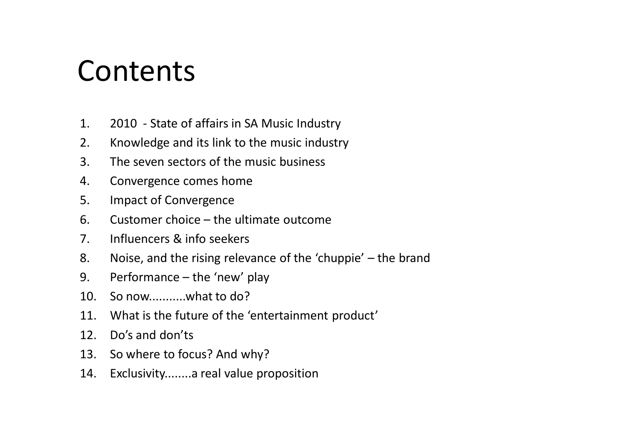#### **Contents**

- 1. 2010 State of affairs in SA Music Industry
- 2. Knowledge and its link to the music industry
- 3. The seven sectors of the music business
- 4. Convergence comes home
- 5. Impact of Convergence
- 6. Customer choice the ultimate outcome
- 7. Influencers & info seekers
- 8. Noise, and the rising relevance of the 'chuppie' the brand
- 9. Performance the 'new' play
- 10. So now...........what to do?
- 11. What is the future of the 'entertainment product'
- 12. Do's and don'ts
- 13. So where to focus? And why?
- 14. Exclusivity........a real value proposition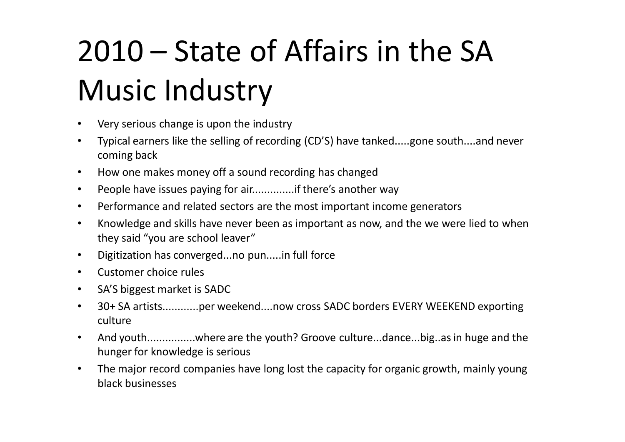# 2010 – State of Affairs in the SA Music Industry

- Very serious change is upon the industry
- • Typical earners like the selling of recording (CD'S) have tanked.....gone south....and never coming back
- $\bullet$ How one makes money off a sound recording has changed
- $\bullet$ People have issues paying for air..............if there's another way
- $\bullet$ Performance and related sectors are the most important income generators
- $\bullet$  Knowledge and skills have never been as important as now, and the we were lied to when they said "you are school leaver"
- $\bullet$ Digitization has converged...no pun.....in full force
- •Customer choice rules
- •SA'S biggest market is SADC
- • 30+ SA artists............per weekend....now cross SADC borders EVERY WEEKEND exporting culture
- $\bullet$  And youth................where are the youth? Groove culture...dance...big..as in huge and the hunger for knowledge is serious
- $\bullet$  The major record companies have long lost the capacity for organic growth, mainly young black businesses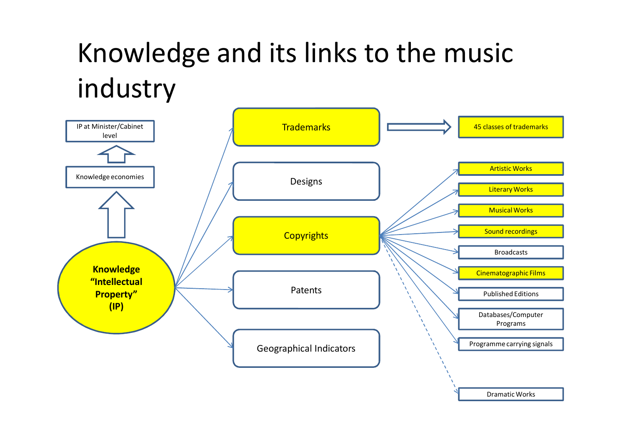## Knowledge and its links to the music industry

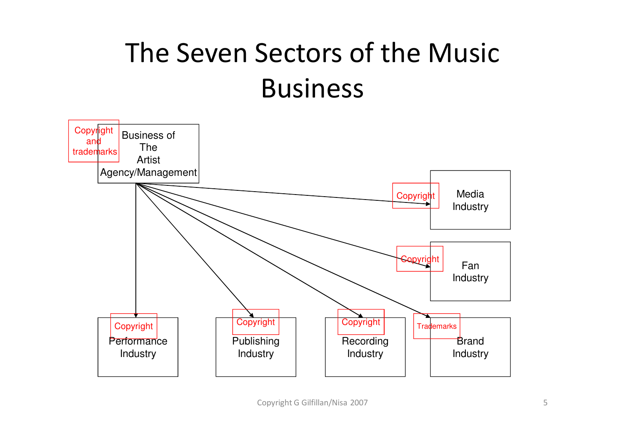# The Seven Sectors of the Music Business

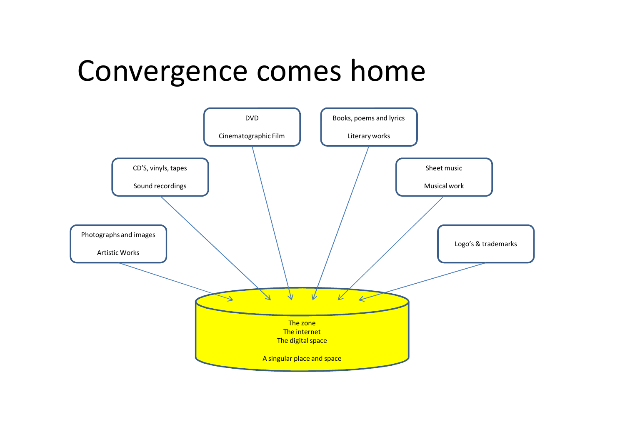#### Convergence comes home

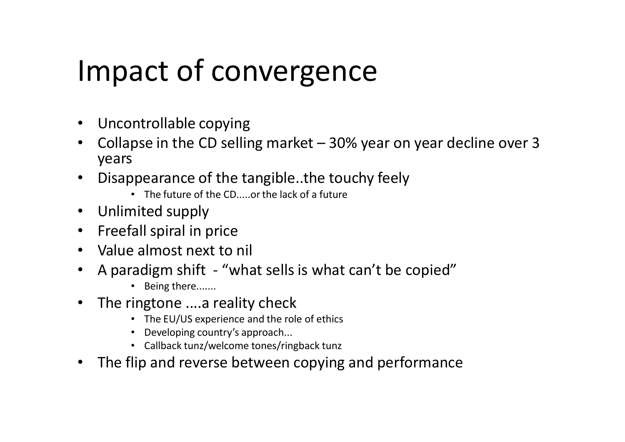# Impact of convergence

- Uncontrollable copying
- Collapse in the CD selling market 30% year on year decline over 3  $\bullet$ years
- • Disappearance of the tangible..the touchy feely
	- The future of the CD.....or the lack of a future
- Unlimited supply
- $\bullet$ Freefall spiral in price
- Value almost next to nil
- $\bullet$  A paradigm shift - "what sells is what can't be copied"
	- Being there.......
- $\bullet$  The ringtone ....a reality check
	- The EU/US experience and the role of ethics
	- Developing country's approach...
	- Callback tunz/welcome tones/ringback tunz
- $\bullet$ The flip and reverse between copying and performance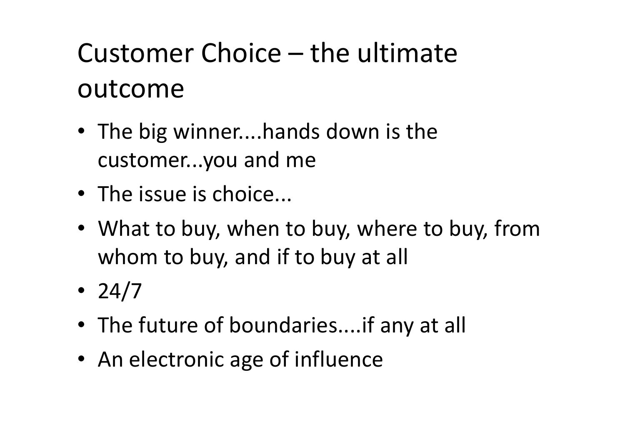# Customer Choice – the ultimate outcome

- The big winner....hands down is the customer...you and me
- The issue is choice...
- What to buy, when to buy, where to buy, from whom to buy, and if to buy at all
- 24/7
- The future of boundaries....if any at all
- An electronic age of influence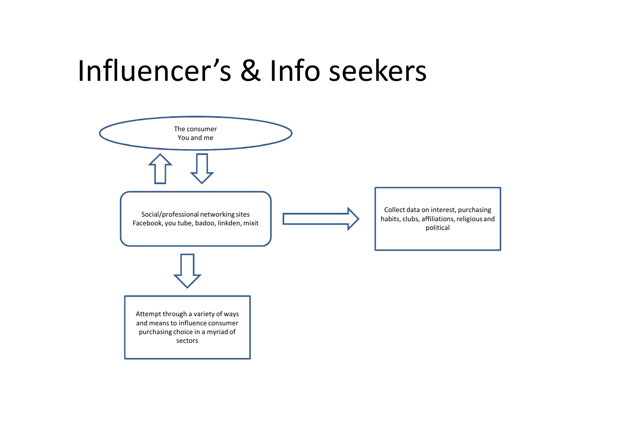#### Influencer's & Info seekers

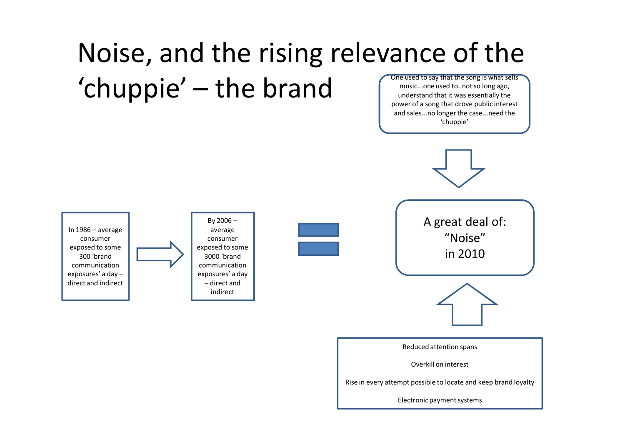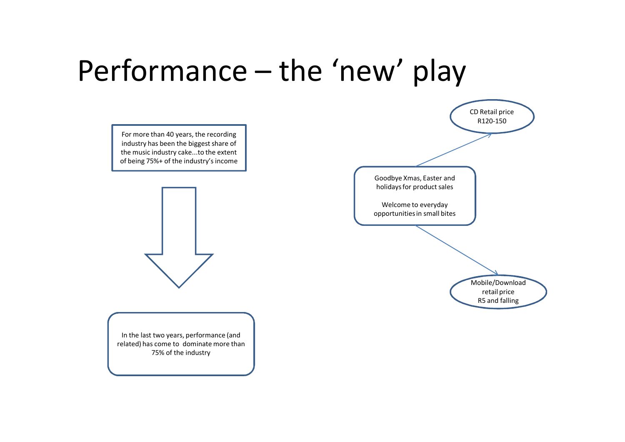### Performance – the 'new' play

For more than 40 years, the recording industry has been the biggest share of the music industry cake...to the extent of being 75%+ of the industry's income



In the last two years, performance (and related) has come to dominate more than 75% of the industry

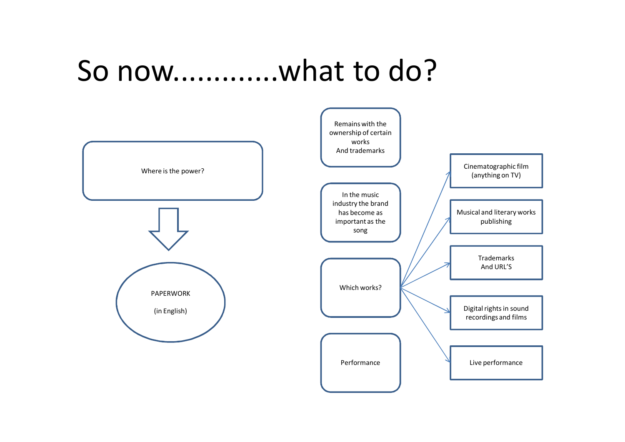#### So now.............what to do?

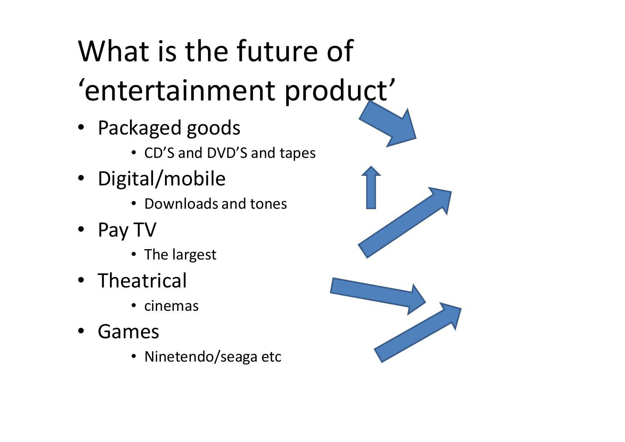# What is the future of 'entertainment product'

- Packaged goods
	- CD'S and DVD'S and tapes
- Digital/mobile
	- Downloads and tones
- Pay TV
	- The largest
- Theatrical
	- cinemas
- • Games
	- Ninetendo/seaga etc



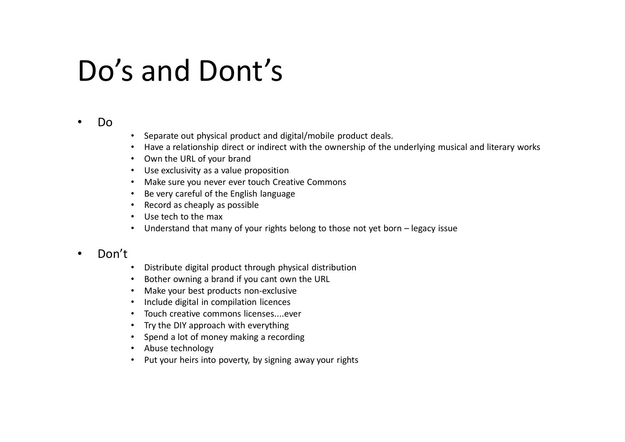### Do's and Dont's

#### •Do

- Separate out physical product and digital/mobile product deals.
- Have a relationship direct or indirect with the ownership of the underlying musical and literary works
- Own the URL of your brand
- Use exclusivity as a value proposition
- Make sure you never ever touch Creative Commons
- Be very careful of the English language
- Record as cheaply as possible
- Use tech to the max
- Understand that many of your rights belong to those not yet born legacy issue

#### •Don't

- Distribute digital product through physical distribution
- Bother owning a brand if you cant own the URL
- Make your best products non-exclusive
- Include digital in compilation licences
- Touch creative commons licenses....ever
- Try the DIY approach with everything
- Spend a lot of money making a recording
- Abuse technology
- Put your heirs into poverty, by signing away your rights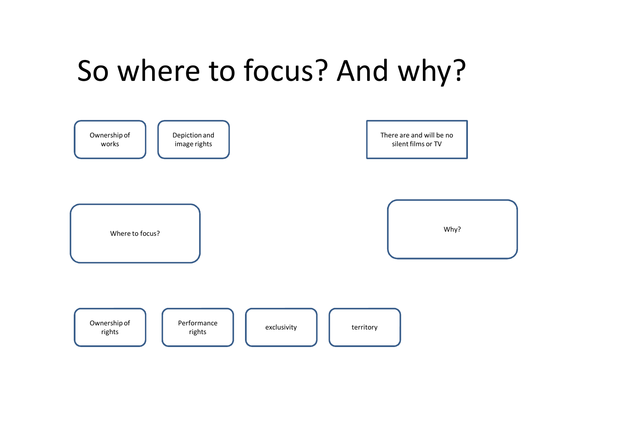# So where to focus? And why?